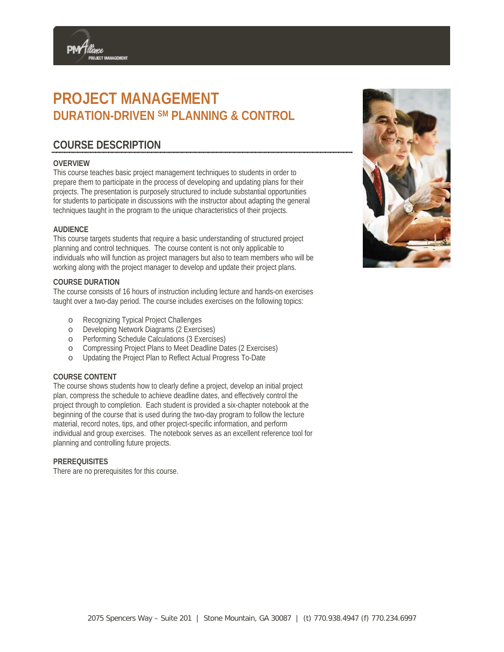# **PROJECT MANAGEMENT DURATION-DRIVEN SM PLANNING & CONTROL**

# **COURSE DESCRIPTION**

ROJECT MANAGEMENT

# **OVERVIEW**

This course teaches basic project management techniques to students in order to prepare them to participate in the process of developing and updating plans for their projects. The presentation is purposely structured to include substantial opportunities for students to participate in discussions with the instructor about adapting the general techniques taught in the program to the unique characteristics of their projects.

# **AUDIENCE**

This course targets students that require a basic understanding of structured project planning and control techniques. The course content is not only applicable to individuals who will function as project managers but also to team members who will be working along with the project manager to develop and update their project plans.

# **COURSE DURATION**

The course consists of 16 hours of instruction including lecture and hands-on exercises taught over a two-day period. The course includes exercises on the following topics:

- o Recognizing Typical Project Challenges
- o Developing Network Diagrams (2 Exercises)
- o Performing Schedule Calculations (3 Exercises)
- o Compressing Project Plans to Meet Deadline Dates (2 Exercises)
- o Updating the Project Plan to Reflect Actual Progress To-Date

# **COURSE CONTENT**

The course shows students how to clearly define a project, develop an initial project plan, compress the schedule to achieve deadline dates, and effectively control the project through to completion. Each student is provided a six-chapter notebook at the beginning of the course that is used during the two-day program to follow the lecture material, record notes, tips, and other project-specific information, and perform individual and group exercises. The notebook serves as an excellent reference tool for planning and controlling future projects.

# **PREREQUISITES**

There are no prerequisites for this course.